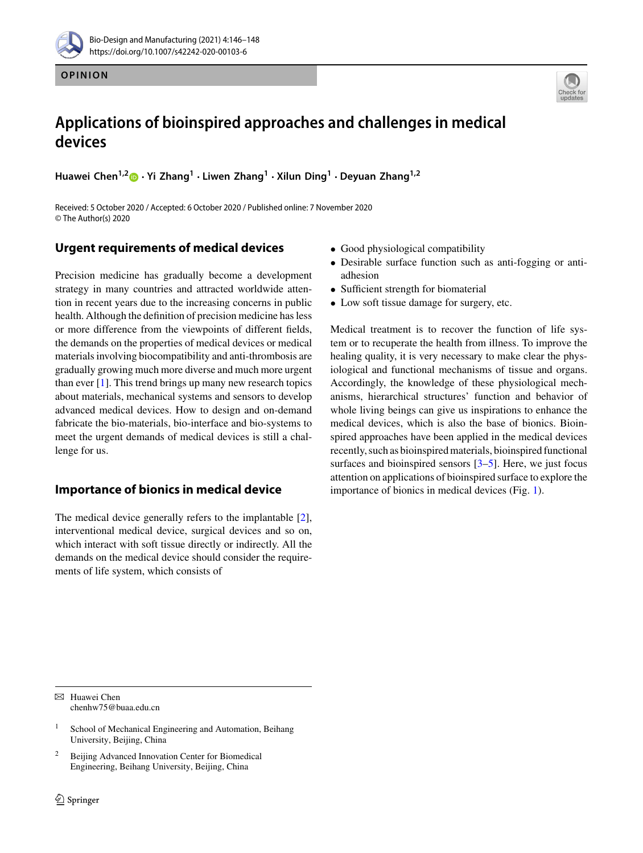



# **Applications of bioinspired approaches and challenges in medical devices**

**Huawei Chen1,[2](http://orcid.org/0000-0003-1766-421X) · Yi Zhang1 · Liwen Zhang<sup>1</sup> · Xilun Ding<sup>1</sup> · Deyuan Zhang1,2**

Received: 5 October 2020 / Accepted: 6 October 2020 / Published online: 7 November 2020 © The Author(s) 2020

## **Urgent requirements of medical devices**

Precision medicine has gradually become a development strategy in many countries and attracted worldwide attention in recent years due to the increasing concerns in public health. Although the definition of precision medicine has less or more difference from the viewpoints of different fields, the demands on the properties of medical devices or medical materials involving biocompatibility and anti-thrombosis are gradually growing much more diverse and much more urgent than ever  $[1]$ . This trend brings up many new research topics about materials, mechanical systems and sensors to develop advanced medical devices. How to design and on-demand fabricate the bio-materials, bio-interface and bio-systems to meet the urgent demands of medical devices is still a challenge for us.

## **Importance of bionics in medical device**

The medical device generally refers to the implantable [\[2\]](#page-2-1), interventional medical device, surgical devices and so on, which interact with soft tissue directly or indirectly. All the demands on the medical device should consider the requirements of life system, which consists of

- Good physiological compatibility
- Desirable surface function such as anti-fogging or antiadhesion
- Sufficient strength for biomaterial
- Low soft tissue damage for surgery, etc.

Medical treatment is to recover the function of life system or to recuperate the health from illness. To improve the healing quality, it is very necessary to make clear the physiological and functional mechanisms of tissue and organs. Accordingly, the knowledge of these physiological mechanisms, hierarchical structures' function and behavior of whole living beings can give us inspirations to enhance the medical devices, which is also the base of bionics. Bioinspired approaches have been applied in the medical devices recently, such as bioinspired materials, bioinspired functional surfaces and bioinspired sensors [\[3](#page-2-2)[–5\]](#page-2-3). Here, we just focus attention on applications of bioinspired surface to explore the importance of bionics in medical devices (Fig. [1\)](#page-1-0).

 $\boxtimes$  Huawei Chen chenhw75@buaa.edu.cn

- <sup>1</sup> School of Mechanical Engineering and Automation, Beihang University, Beijing, China
- <sup>2</sup> Beijing Advanced Innovation Center for Biomedical Engineering, Beihang University, Beijing, China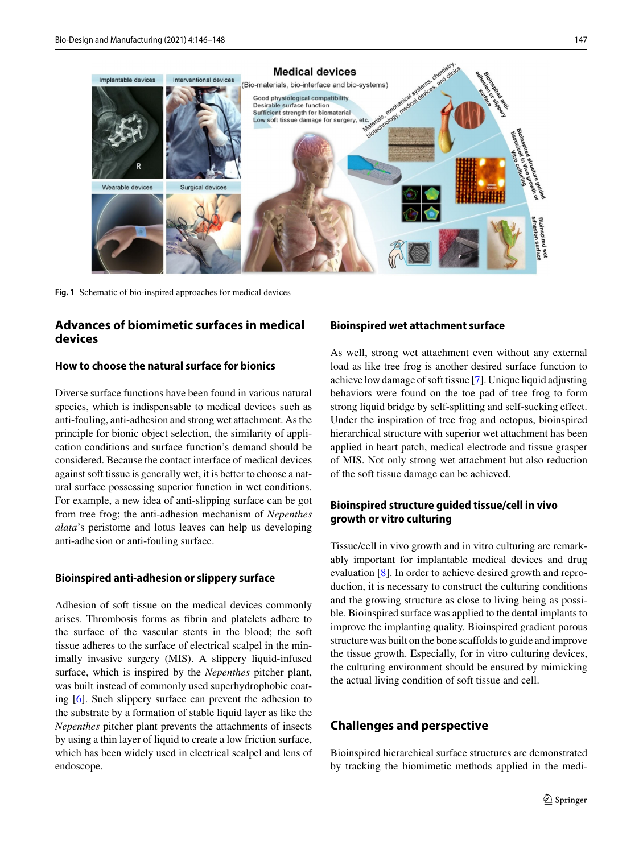

**Fig. 1** Schematic of bio-inspired approaches for medical devices

## <span id="page-1-0"></span>**Advances of biomimetic surfaces in medical devices**

### **How to choose the natural surface for bionics**

Diverse surface functions have been found in various natural species, which is indispensable to medical devices such as anti-fouling, anti-adhesion and strong wet attachment. As the principle for bionic object selection, the similarity of application conditions and surface function's demand should be considered. Because the contact interface of medical devices against soft tissue is generally wet, it is better to choose a natural surface possessing superior function in wet conditions. For example, a new idea of anti-slipping surface can be got from tree frog; the anti-adhesion mechanism of *Nepenthes alata*'s peristome and lotus leaves can help us developing anti-adhesion or anti-fouling surface.

#### **Bioinspired anti-adhesion or slippery surface**

Adhesion of soft tissue on the medical devices commonly arises. Thrombosis forms as fibrin and platelets adhere to the surface of the vascular stents in the blood; the soft tissue adheres to the surface of electrical scalpel in the minimally invasive surgery (MIS). A slippery liquid-infused surface, which is inspired by the *Nepenthes* pitcher plant, was built instead of commonly used superhydrophobic coating [\[6\]](#page-2-4). Such slippery surface can prevent the adhesion to the substrate by a formation of stable liquid layer as like the *Nepenthes* pitcher plant prevents the attachments of insects by using a thin layer of liquid to create a low friction surface, which has been widely used in electrical scalpel and lens of endoscope.

#### **Bioinspired wet attachment surface**

As well, strong wet attachment even without any external load as like tree frog is another desired surface function to achieve low damage of soft tissue [\[7\]](#page-2-5). Unique liquid adjusting behaviors were found on the toe pad of tree frog to form strong liquid bridge by self-splitting and self-sucking effect. Under the inspiration of tree frog and octopus, bioinspired hierarchical structure with superior wet attachment has been applied in heart patch, medical electrode and tissue grasper of MIS. Not only strong wet attachment but also reduction of the soft tissue damage can be achieved.

## **Bioinspired structure guided tissue/cell in vivo growth or vitro culturing**

Tissue/cell in vivo growth and in vitro culturing are remarkably important for implantable medical devices and drug evaluation [\[8\]](#page-2-6). In order to achieve desired growth and reproduction, it is necessary to construct the culturing conditions and the growing structure as close to living being as possible. Bioinspired surface was applied to the dental implants to improve the implanting quality. Bioinspired gradient porous structure was built on the bone scaffolds to guide and improve the tissue growth. Especially, for in vitro culturing devices, the culturing environment should be ensured by mimicking the actual living condition of soft tissue and cell.

## **Challenges and perspective**

Bioinspired hierarchical surface structures are demonstrated by tracking the biomimetic methods applied in the medi